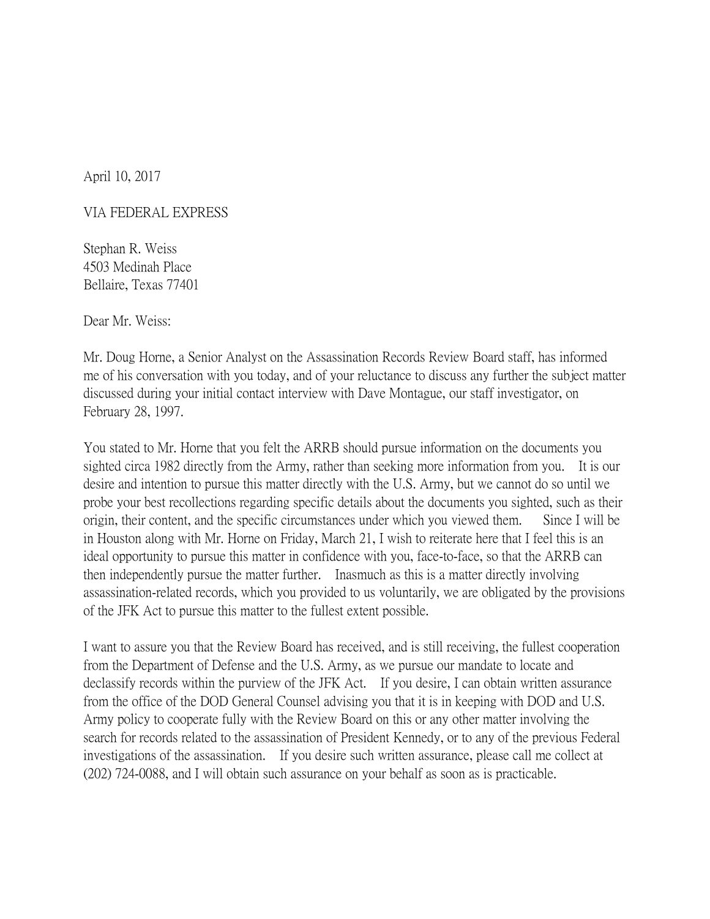April 10, 2017

## VIA FEDERAL EXPRESS

Stephan R. Weiss 4503 Medinah Place Bellaire, Texas 77401

Dear Mr. Weiss:

Mr. Doug Horne, a Senior Analyst on the Assassination Records Review Board staff, has informed me of his conversation with you today, and of your reluctance to discuss any further the subject matter discussed during your initial contact interview with Dave Montague, our staff investigator, on February 28, 1997.

You stated to Mr. Horne that you felt the ARRB should pursue information on the documents you sighted circa 1982 directly from the Army, rather than seeking more information from you. It is our desire and intention to pursue this matter directly with the U.S. Army, but we cannot do so until we probe your best recollections regarding specific details about the documents you sighted, such as their origin, their content, and the specific circumstances under which you viewed them. Since I will be in Houston along with Mr. Horne on Friday, March 21, I wish to reiterate here that I feel this is an ideal opportunity to pursue this matter in confidence with you, face-to-face, so that the ARRB can then independently pursue the matter further. Inasmuch as this is a matter directly involving assassination-related records, which you provided to us voluntarily, we are obligated by the provisions of the JFK Act to pursue this matter to the fullest extent possible.

I want to assure you that the Review Board has received, and is still receiving, the fullest cooperation from the Department of Defense and the U.S. Army, as we pursue our mandate to locate and declassify records within the purview of the JFK Act. If you desire, I can obtain written assurance from the office of the DOD General Counsel advising you that it is in keeping with DOD and U.S. Army policy to cooperate fully with the Review Board on this or any other matter involving the search for records related to the assassination of President Kennedy, or to any of the previous Federal investigations of the assassination. If you desire such written assurance, please call me collect at (202) 724-0088, and I will obtain such assurance on your behalf as soon as is practicable.